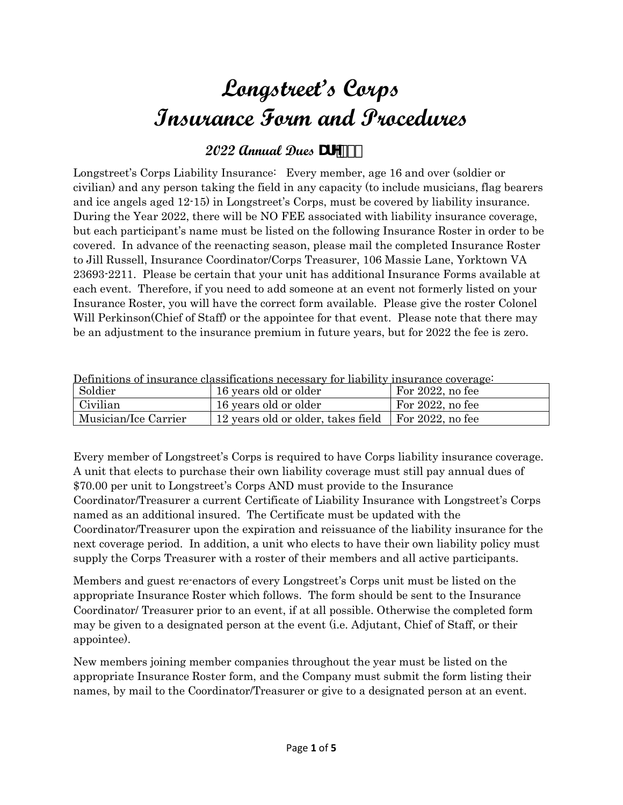# **Longstreet's Corps Insurance Form and Procedures**

### **2022 Annual Dues DUH**

Longstreet's Corps Liability Insurance: Every member, age 16 and over (soldier or civilian) and any person taking the field in any capacity (to include musicians, flag bearers and ice angels aged 12-15) in Longstreet's Corps, must be covered by liability insurance. During the Year 2022, there will be NO FEE associated with liability insurance coverage, but each participant's name must be listed on the following Insurance Roster in order to be covered. In advance of the reenacting season, please mail the completed Insurance Roster to Jill Russell, Insurance Coordinator/Corps Treasurer, 106 Massie Lane, Yorktown VA 23693-2211. Please be certain that your unit has additional Insurance Forms available at each event. Therefore, if you need to add someone at an event not formerly listed on your Insurance Roster, you will have the correct form available. Please give the roster Colonel Will Perkinson(Chief of Staff) or the appointee for that event. Please note that there may be an adjustment to the insurance premium in future years, but for 2022 the fee is zero.

| Definitions of insurance classifications necessary for liability insurance coverage |                                                     |                     |  |  |  |
|-------------------------------------------------------------------------------------|-----------------------------------------------------|---------------------|--|--|--|
| Soldier                                                                             | 16 years old or older                               | For $2022$ , no fee |  |  |  |
| Civilian                                                                            | 16 years old or older                               | For $2022$ , no fee |  |  |  |
| Musician/Ice Carrier                                                                | 12 years old or older, takes field For 2022, no fee |                     |  |  |  |

Definitions of insurance classifications necessary for liability insurance coverage:

Every member of Longstreet's Corps is required to have Corps liability insurance coverage. A unit that elects to purchase their own liability coverage must still pay annual dues of \$70.00 per unit to Longstreet's Corps AND must provide to the Insurance Coordinator/Treasurer a current Certificate of Liability Insurance with Longstreet's Corps named as an additional insured. The Certificate must be updated with the Coordinator/Treasurer upon the expiration and reissuance of the liability insurance for the next coverage period. In addition, a unit who elects to have their own liability policy must supply the Corps Treasurer with a roster of their members and all active participants.

Members and guest re-enactors of every Longstreet's Corps unit must be listed on the appropriate Insurance Roster which follows. The form should be sent to the Insurance Coordinator/ Treasurer prior to an event, if at all possible. Otherwise the completed form may be given to a designated person at the event (i.e. Adjutant, Chief of Staff, or their appointee).

New members joining member companies throughout the year must be listed on the appropriate Insurance Roster form, and the Company must submit the form listing their names, by mail to the Coordinator/Treasurer or give to a designated person at an event.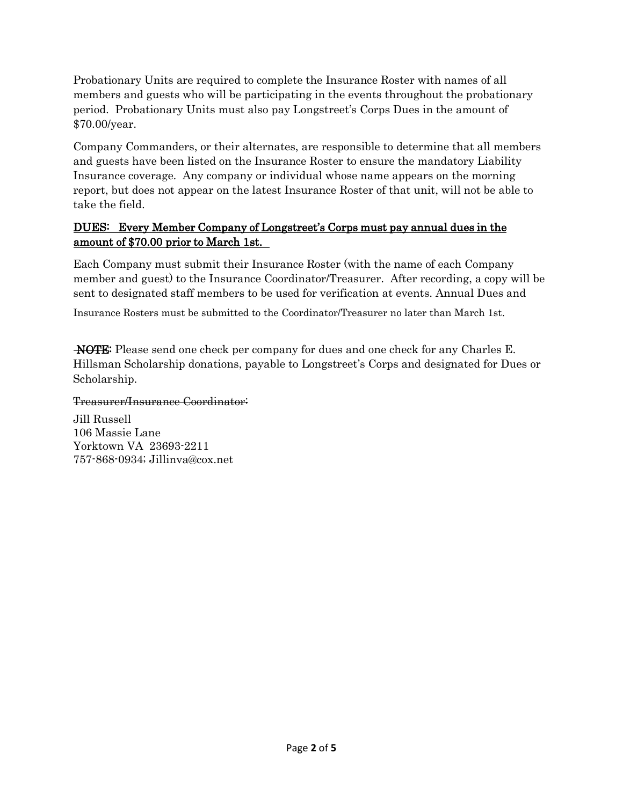Probationary Units are required to complete the Insurance Roster with names of all members and guests who will be participating in the events throughout the probationary period. Probationary Units must also pay Longstreet's Corps Dues in the amount of \$70.00/year.

Company Commanders, or their alternates, are responsible to determine that all members and guests have been listed on the Insurance Roster to ensure the mandatory Liability Insurance coverage. Any company or individual whose name appears on the morning report, but does not appear on the latest Insurance Roster of that unit, will not be able to take the field.

#### DUES: Every Member Company of Longstreet's Corps must pay annual dues in the amount of \$70.00 prior to March 1st.

Each Company must submit their Insurance Roster (with the name of each Company member and guest) to the Insurance Coordinator/Treasurer. After recording, a copy will be sent to designated staff members to be used for verification at events. Annual Dues and

Insurance Rosters must be submitted to the Coordinator/Treasurer no later than March 1st.

NOTE: Please send one check per company for dues and one check for any Charles E. Hillsman Scholarship donations, payable to Longstreet's Corps and designated for Dues or Scholarship.

#### Treasurer/Insurance Coordinator:

Jill Russell 106 Massie Lane Yorktown VA 23693-2211 757-868-0934; [Jillinva@cox.net](mailto:Jillinva@cox.net)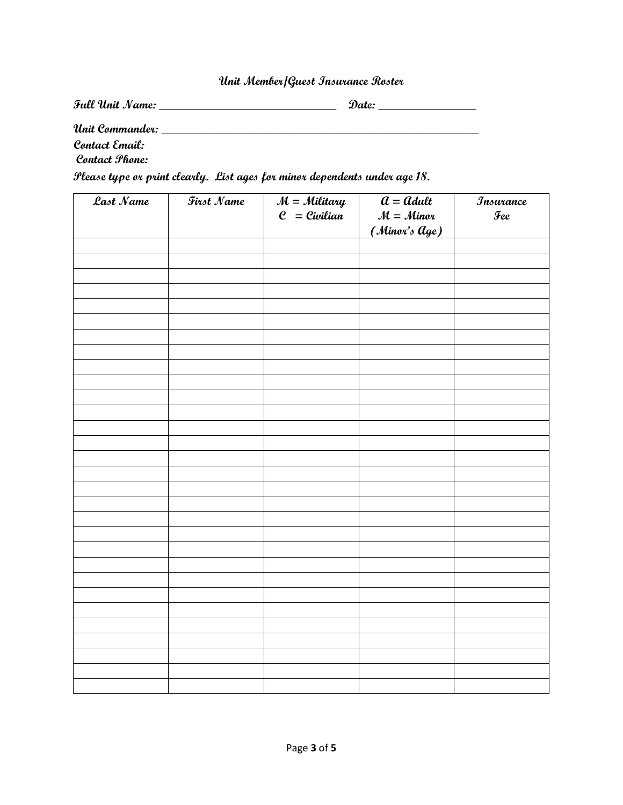## **Unit Member/Guest Insurance Roster**

| Full Unit Name:            | Date: |  |  |
|----------------------------|-------|--|--|
| Unit Commander:            |       |  |  |
| Contact Email:             |       |  |  |
| Contact Phone:             |       |  |  |
| --<br>$\sim$ $\sim$ $\sim$ |       |  |  |

**Please type or print clearly. List ages for minor dependents under age 18.**

| Last Name | First Name | $M =$ Military<br>$e$ = Civilian | $\overline{a} =$ adult<br>$M =$ Minor<br>(Minor's Age) | <b><i>Insurance</i></b><br>$\mathcal{T}ee$ |
|-----------|------------|----------------------------------|--------------------------------------------------------|--------------------------------------------|
|           |            |                                  |                                                        |                                            |
|           |            |                                  |                                                        |                                            |
|           |            |                                  |                                                        |                                            |
|           |            |                                  |                                                        |                                            |
|           |            |                                  |                                                        |                                            |
|           |            |                                  |                                                        |                                            |
|           |            |                                  |                                                        |                                            |
|           |            |                                  |                                                        |                                            |
|           |            |                                  |                                                        |                                            |
|           |            |                                  |                                                        |                                            |
|           |            |                                  |                                                        |                                            |
|           |            |                                  |                                                        |                                            |
|           |            |                                  |                                                        |                                            |
|           |            |                                  |                                                        |                                            |
|           |            |                                  |                                                        |                                            |
|           |            |                                  |                                                        |                                            |
|           |            |                                  |                                                        |                                            |
|           |            |                                  |                                                        |                                            |
|           |            |                                  |                                                        |                                            |
|           |            |                                  |                                                        |                                            |
|           |            |                                  |                                                        |                                            |
|           |            |                                  |                                                        |                                            |
|           |            |                                  |                                                        |                                            |
|           |            |                                  |                                                        |                                            |
|           |            |                                  |                                                        |                                            |
|           |            |                                  |                                                        |                                            |
|           |            |                                  |                                                        |                                            |
|           |            |                                  |                                                        |                                            |
|           |            |                                  |                                                        |                                            |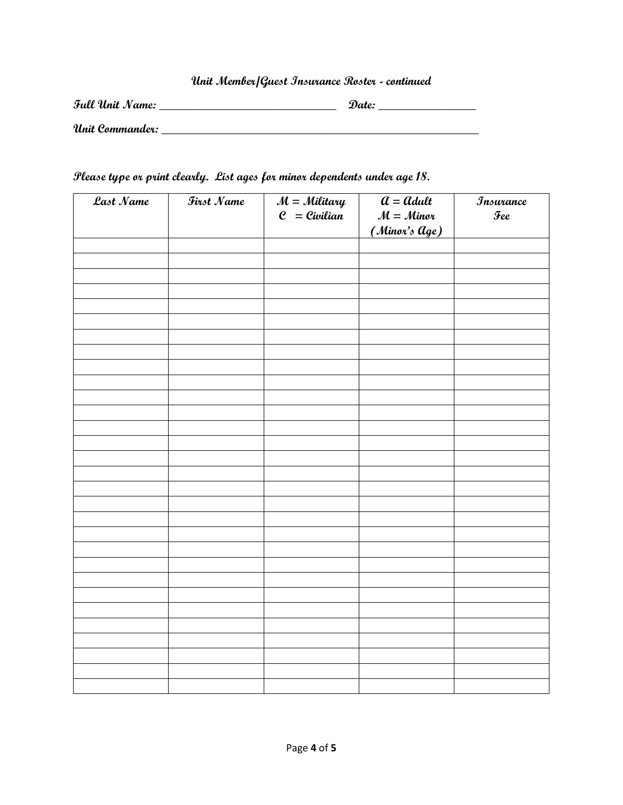## **Unit Member/Guest Insurance Roster - continued**

| Full Unit Name: | Date: |
|-----------------|-------|
| Unit Commander: |       |

#### **Please type or print clearly. List ages for minor dependents under age 18.**

| Last Name | First Name | $M =$ Military<br>$e$ = Civilian | $\overline{a} = \overline{a}$ dult<br>$M =$ Minor<br>(Minor's Age) | <b>Insurance</b><br>$\mathcal{T}ee$ |
|-----------|------------|----------------------------------|--------------------------------------------------------------------|-------------------------------------|
|           |            |                                  |                                                                    |                                     |
|           |            |                                  |                                                                    |                                     |
|           |            |                                  |                                                                    |                                     |
|           |            |                                  |                                                                    |                                     |
|           |            |                                  |                                                                    |                                     |
|           |            |                                  |                                                                    |                                     |
|           |            |                                  |                                                                    |                                     |
|           |            |                                  |                                                                    |                                     |
|           |            |                                  |                                                                    |                                     |
|           |            |                                  |                                                                    |                                     |
|           |            |                                  |                                                                    |                                     |
|           |            |                                  |                                                                    |                                     |
|           |            |                                  |                                                                    |                                     |
|           |            |                                  |                                                                    |                                     |
|           |            |                                  |                                                                    |                                     |
|           |            |                                  |                                                                    |                                     |
|           |            |                                  |                                                                    |                                     |
|           |            |                                  |                                                                    |                                     |
|           |            |                                  |                                                                    |                                     |
|           |            |                                  |                                                                    |                                     |
|           |            |                                  |                                                                    |                                     |
|           |            |                                  |                                                                    |                                     |
|           |            |                                  |                                                                    |                                     |
|           |            |                                  |                                                                    |                                     |